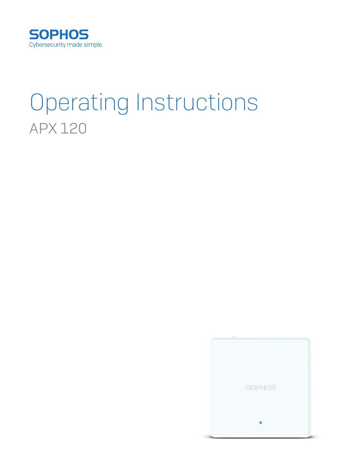

# Operating Instructions APX 120

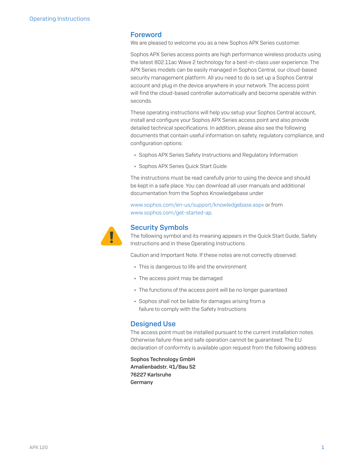### Foreword

We are pleased to welcome you as a new Sophos APX Series customer.

Sophos APX Series access points are high performance wireless products using the latest 802.11ac Wave 2 technology for a best-in-class user experience. The APX Series models can be easily managed in Sophos Central, our cloud-based security management platform. All you need to do is set up a Sophos Central account and plug in the device anywhere in your network. The access point will find the cloud-based controller automatically and become operable within seconds.

These operating instructions will help you setup your Sophos Central account, install and configure your Sophos APX Series access point and also provide detailed technical specifications. In addition, please also see the following documents that contain useful information on safety, regulatory compliance, and configuration options:

- **Sophos APX Series Safety Instructions and Regulatory Information**
- **Sophos APX Series Quick Start Guide**

The instructions must be read carefully prior to using the device and should be kept in a safe place. You can download all user manuals and additional documentation from the Sophos Knowledgebase under

[www.sophos.com/en-us/support/knowledgebase.aspx](http://www.sophos.com/en-us/support/knowledgebase.aspx) or from [www.sophos.com/get-started-ap.](http://www.sophos.com/get-started-ap)



### Security Symbols

The following symbol and its meaning appears in the Quick Start Guide, Safety Instructions and in these Operating Instructions.

Caution and Important Note. If these notes are not correctly observed:

- $\cdot$  This is dangerous to life and the environment
- $\cdot$  The access point may be damaged
- $\cdot$  The functions of the access point will be no longer guaranteed
- **Sophos shall not be liable for damages arising from a** failure to comply with the Safety Instructions

#### Designed Use

The access point must be installed pursuant to the current installation notes. Otherwise failure-free and safe operation cannot be guaranteed. The EU declaration of conformity is available upon request from the following address:

Sophos Technology GmbH Amalienbadstr. 41/Bau 52 76227 Karlsruhe Germany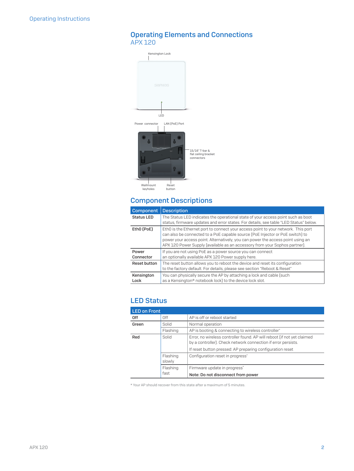## Operating Elements and Connections APX 120



# Component Descriptions

| Component          | <b>Description</b>                                                                                                                                                                                                                                                                                                                  |
|--------------------|-------------------------------------------------------------------------------------------------------------------------------------------------------------------------------------------------------------------------------------------------------------------------------------------------------------------------------------|
| <b>Status LED</b>  | The Status LED indicates the operational state of your access point such as boot<br>status, firmware updates and error states. For details, see table "LED Status" below.                                                                                                                                                           |
| Eth0 (PoE)         | Eth0 is the Ethernet port to connect your access point to your network. This port<br>can also be connected to a PoE capable source (PoE Injector or PoE switch) to<br>power your access point. Alternatively, you can power the access point using an<br>APX 120 Power Supply (available as an accessory from your Sophos partner). |
| Power<br>Connector | If you are not using PoE as a power source you can connect<br>an optionally available APX 120 Power supply here.                                                                                                                                                                                                                    |
| Reset button       | The reset button allows you to reboot the device and reset its configuration<br>to the factory default. For details, please see section "Reboot & Reset"                                                                                                                                                                            |
| Kensington<br>Lock | You can physically secure the AP by attaching a lock and cable (such<br>as a Kensington® notebook lock) to the device lock slot.                                                                                                                                                                                                    |

## LED Status

| <b>LED on Front</b> |                    |                                                                                                                                                                                                       |  |  |  |  |
|---------------------|--------------------|-------------------------------------------------------------------------------------------------------------------------------------------------------------------------------------------------------|--|--|--|--|
| 0ff                 | Off                | AP is off or reboot started                                                                                                                                                                           |  |  |  |  |
| Green               | Solid              | Normal operation                                                                                                                                                                                      |  |  |  |  |
|                     | Flashing           | AP is booting & connecting to wireless controller*                                                                                                                                                    |  |  |  |  |
| Red                 | Solid              | Error, no wireless controller found. AP will reboot (if not yet claimed<br>by a controller). Check network connection if error persists.<br>If reset button pressed: AP preparing configuration reset |  |  |  |  |
|                     | Flashing<br>slowly | Configuration reset in progress*                                                                                                                                                                      |  |  |  |  |
|                     | Flashing<br>fast   | Firmware update in progress*<br>Note: Do not disconnect from power                                                                                                                                    |  |  |  |  |

\* Your AP should recover from this state after a maximum of 5 minutes.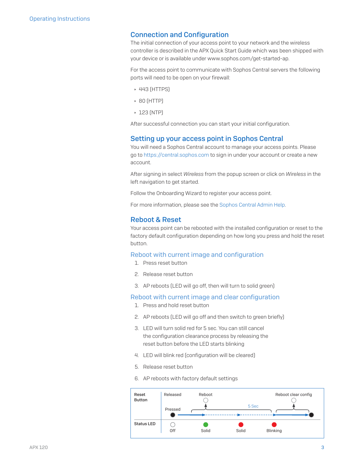### Connection and Configuration

The initial connection of your access point to your network and the wireless controller is described in the APX Quick Start Guide which was been shipped with your device or is available under www.sophos.com/get-started-ap.

For the access point to communicate with Sophos Central servers the following ports will need to be open on your firewall:

- $\cdot$  443 (HTTPS)
- $\cdot$  80 (HTTP)
- $\cdot$  123 (NTP)

After successful connection you can start your initial configuration.

### Setting up your access point in Sophos Central

You will need a Sophos Central account to manage your access points. Please go to <https://central.sophos.com>to sign in under your account or create a new account.

After signing in select *Wireless* from the popup screen or click on *Wireless* in the left navigation to get started.

Follow the Onboarding Wizard to register your access point.

For more information, please see the [Sophos Central Admin Help](http://docs.sophos.com/sophos-cloud/customer-dashboard/help/en-us/webhelp/index.htm#concepts/AccessPoints.htm).

### Reboot & Reset

Your access point can be rebooted with the installed configuration or reset to the factory default configuration depending on how long you press and hold the reset button.

### Reboot with current image and configuration

- 1. Press reset button
- 2. Release reset button
- 3. AP reboots (LED will go off, then will turn to solid green)

### Reboot with current image and clear configuration

- 1. Press and hold reset button
- 2. AP reboots (LED will go off and then switch to green briefly)
- 3. LED will turn solid red for 5 sec. You can still cancel the configuration clearance process by releasing the reset button before the LED starts blinking
- 4. LED will blink red (configuration will be cleared)
- 5. Release reset button
- 6. AP reboots with factory default settings

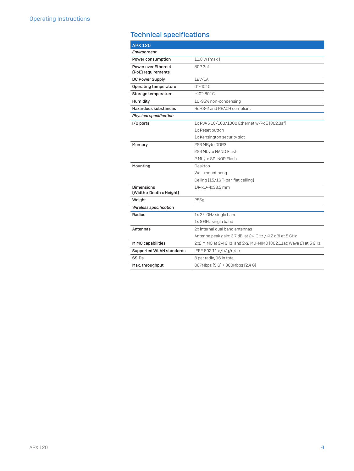# Technical specifications

| <b>APX 120</b>                            |                                                                 |  |  |  |  |  |
|-------------------------------------------|-----------------------------------------------------------------|--|--|--|--|--|
| Environment                               |                                                                 |  |  |  |  |  |
| Power consumption                         | 11.8 W (max.)                                                   |  |  |  |  |  |
| Power over Ethernet<br>(PoE) requirements | 802.3af                                                         |  |  |  |  |  |
| DC Power Supply                           | 12V/1A                                                          |  |  |  |  |  |
| <b>Operating temperature</b>              | $0^\circ - 40^\circ C$                                          |  |  |  |  |  |
| Storage temperature                       | $-40^\circ - 80^\circ C$                                        |  |  |  |  |  |
| Humidity                                  | 10-95% non-condensing                                           |  |  |  |  |  |
| Hazardous substances                      | RoHS-2 and REACH compliant                                      |  |  |  |  |  |
| <b>Physical specification</b>             |                                                                 |  |  |  |  |  |
| I/O ports                                 | 1x RJ45 10/100/1000 Ethernet w/PoE [802.3af]                    |  |  |  |  |  |
|                                           | 1x Reset button                                                 |  |  |  |  |  |
|                                           | 1x Kensington security slot                                     |  |  |  |  |  |
| Memory                                    | 256 MByte DDR3                                                  |  |  |  |  |  |
|                                           | 256 Mbyte NAND Flash                                            |  |  |  |  |  |
|                                           | 2 Mbyte SPI NOR Flash                                           |  |  |  |  |  |
| Mounting                                  | Desktop                                                         |  |  |  |  |  |
|                                           | Wall-mount hang                                                 |  |  |  |  |  |
|                                           | Ceiling (15/16 T-bar, flat ceiling)                             |  |  |  |  |  |
| <b>Dimensions</b>                         | 144x144x33.5 mm                                                 |  |  |  |  |  |
| (Width x Depth x Height)                  |                                                                 |  |  |  |  |  |
| Weight                                    | 256g                                                            |  |  |  |  |  |
| <b>Wireless specification</b>             |                                                                 |  |  |  |  |  |
| Radios                                    | 1x 2.4 GHz single band                                          |  |  |  |  |  |
|                                           | 1x 5 GHz single band                                            |  |  |  |  |  |
| Antennas                                  | 2x internal dual band antennas                                  |  |  |  |  |  |
|                                           | Antenna peak gain: 3.7 dBi at 2.4 GHz / 4.2 dBi at 5 GHz        |  |  |  |  |  |
| <b>MIMO capabilities</b>                  | 2x2 MIMO at 2.4 GHz, and 2x2 MU-MIMO [802.11ac Wave 2] at 5 GHz |  |  |  |  |  |
| Supported WLAN standards                  | IEEE 802.11 a/b/g/n/ac                                          |  |  |  |  |  |
| <b>SSIDs</b>                              | 8 per radio, 16 in total                                        |  |  |  |  |  |
| Max. throughput                           | 867Mbps (5 G) + 300Mbps (2.4 G)                                 |  |  |  |  |  |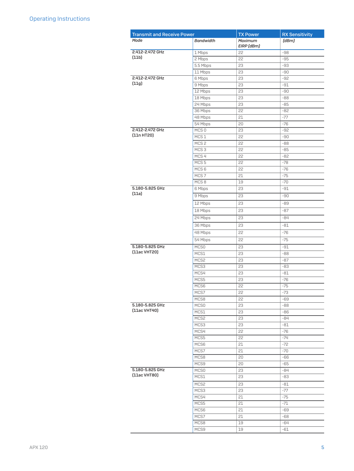| <b>Transmit and Receive Power</b> |                                      | <b>TX Power</b> | <b>RX Sensitivity</b> |
|-----------------------------------|--------------------------------------|-----------------|-----------------------|
| Mode                              | <b>Bandwidth</b>                     | Maximum         | (dBm)                 |
|                                   |                                      | EIRP [dBm]      |                       |
| 2.412-2.472 GHz                   | 1 Mbps                               | 22              | -98                   |
| (11b)                             | 2 Mbps                               | 22              | $-95$                 |
|                                   | 5.5 Mbps                             | 23              | -93                   |
|                                   | 11 Mbps                              | 23              | -90                   |
| 2.412-2.472 GHz                   | 6 Mbps                               | 23              | $-92$                 |
| (11g)                             | 9 Mbps                               | 23              | -91                   |
|                                   | 12 Mbps                              | 23              | -90                   |
|                                   | 18 Mbps                              | 23              | $-88$                 |
|                                   | 24 Mbps                              | 23              | $-85$                 |
|                                   | 36 Mbps                              | 22              | $-82$                 |
|                                   | 48 Mbps                              | 21              | $-77$                 |
|                                   | 54 Mbps                              | 20              | $-76$                 |
| 2.412-2.472 GHz<br>[11n HT20]     | MCS <sub>0</sub>                     | 23              | $-92$                 |
|                                   | MCS <sub>1</sub><br>MCS <sub>2</sub> | 22              | -90                   |
|                                   | MCS <sub>3</sub>                     | 22<br>22        | $-88$<br>$-85$        |
|                                   | MCS <sub>4</sub>                     | 22              | $-82$                 |
|                                   | MCS <sub>5</sub>                     | 22              | $-78$                 |
|                                   | MCS <sub>6</sub>                     | 22              | $-76$                 |
|                                   | MCS <sub>7</sub>                     | 21              | $-75$                 |
|                                   | MCS <sub>8</sub>                     | 19              | $-70$                 |
| 5.180-5.825 GHz                   | 6 Mbps                               | 23              | -91                   |
| (11a)                             | 9 Mbps                               | 23              | $-90$                 |
|                                   | 12 Mbps                              | 23              | -89                   |
|                                   |                                      |                 |                       |
|                                   | 18 Mbps                              | 23              | $-87$                 |
|                                   | 24 Mbps                              | 23              | -84                   |
|                                   | 36 Mbps                              | 23              | $-81$                 |
|                                   | 48 Mbps                              | 22              | $-76$                 |
|                                   | 54 Mbps                              | 22              | $-75$                 |
| 5.180-5.825 GHz                   | MCS <sub>0</sub>                     | 23              | $-91$                 |
| [11ac VHT20]                      | MCS1                                 | 23              | $-88$                 |
|                                   | MCS2                                 | 23              | $-87$                 |
|                                   | MCS3                                 | 23              | $-83$                 |
|                                   | MCS4                                 | 23              | $-81$                 |
|                                   | MCS5                                 | 23              | $-76$                 |
|                                   | MCS6                                 | 22              | $-75$                 |
|                                   | MCS7                                 | 22              | $-73$                 |
|                                   | MCS8                                 | 22              | -69                   |
| 5.180-5.825 GHz<br>(11ac VHT40)   | MCS <sub>0</sub>                     | 23              | -88                   |
|                                   | MCS1                                 | 23              | -86                   |
|                                   | MCS2<br>MCS3                         | 23<br>23        | -84<br>$-81$          |
|                                   | MCS4                                 | 22              | $-76$                 |
|                                   | MCS5                                 | 22              | $-74$                 |
|                                   | MCS6                                 | 21              | $-72$                 |
|                                   | MCS7                                 | 21              | $-70$                 |
|                                   | MCS8                                 | 20              | -66                   |
|                                   | MCS9                                 | 20              | -65                   |
| 5.180-5.825 GHz                   | MCS <sub>0</sub>                     | 23              | $-84$                 |
| [11ac VHT80]                      | MCS1                                 | 23              | -83                   |
|                                   | MCS2                                 | 23              | $-81$                 |
|                                   | MCS3                                 | 23              | -77                   |
|                                   | MCS4                                 | 21              | $-75$                 |
|                                   | MCS5                                 | 21              | $-71$                 |
|                                   | MCS6                                 | 21              | -69                   |
|                                   | MCS7                                 | 21              | -68                   |
|                                   | MCS8                                 | 19              | -64                   |
|                                   | MCS9                                 | 19              | $-61$                 |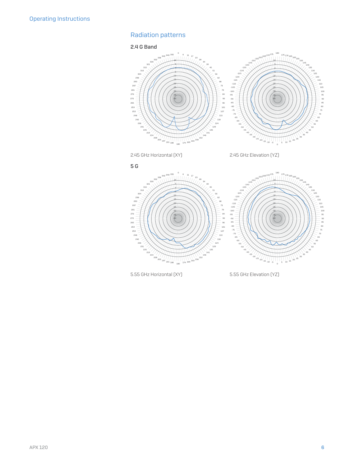# Radiation patterns

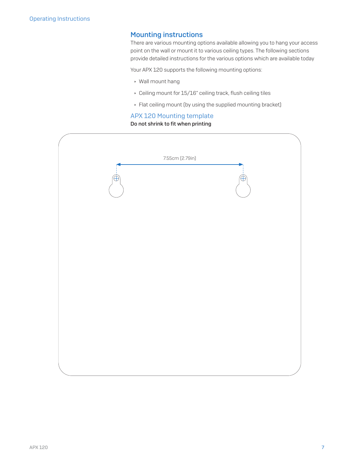### Mounting instructions

There are various mounting options available allowing you to hang your access point on the wall or mount it to various ceiling types. The following sections provide detailed instructions for the various options which are available today

Your APX 120 supports the following mounting options:

- **Wall mount hang**
- $\cdot$  Ceiling mount for 15/16" ceiling track, flush ceiling tiles
- **Flat ceiling mount (by using the supplied mounting bracket)**

### APX 120 Mounting template

### Do not shrink to fit when printing

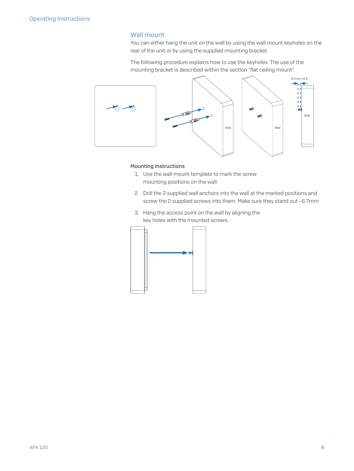### Wall mount

You can either hang the unit on the wall by using the wall mount keyholes on the rear of the unit or by using the supplied mounting bracket.

The following procedure explains how to use the keyholes. The use of the mounting bracket is described within the section "flat ceiling mount".



### Mounting instructions

- 1. Use the wall mount template to mark the screw mounting positions on the wall.
- 2. Drill the 2 supplied wall anchors into the wall at the marked positions and screw the 2 supplied screws into them. Make sure they stand out ~6.7mm.
- 3. Hang the access point on the wall by aligning the key holes with the mounted screws.

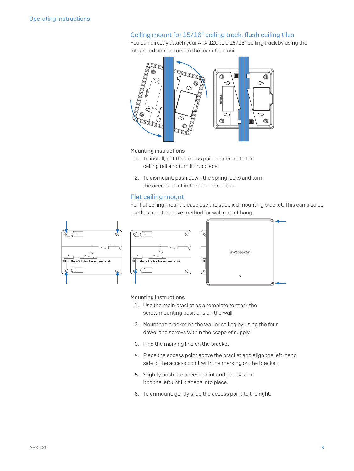### Ceiling mount for 15/16" ceiling track, flush ceiling tiles

You can directly attach your APX 120 to a 15/16" ceiling track by using the integrated connectors on the rear of the unit.



### Mounting instructions

- 1. To install, put the access point underneath the ceiling rail and turn it into place.
- 2. To dismount, push down the spring locks and turn the access point in the other direction.

### Flat ceiling mount

For flat ceiling mount please use the supplied mounting bracket. This can also be used as an alternative method for wall mount hang.





### Mounting instructions

- 1. Use the main bracket as a template to mark the screw mounting positions on the wall
- 2. Mount the bracket on the wall or ceiling by using the four dowel and screws within the scope of supply.
- 3. Find the marking line on the bracket.
- 4. Place the access point above the bracket and align the left-hand side of the access point with the marking on the bracket.
- 5. Slightly push the access point and gently slide it to the left until it snaps into place.
- 6. To unmount, gently slide the access point to the right.